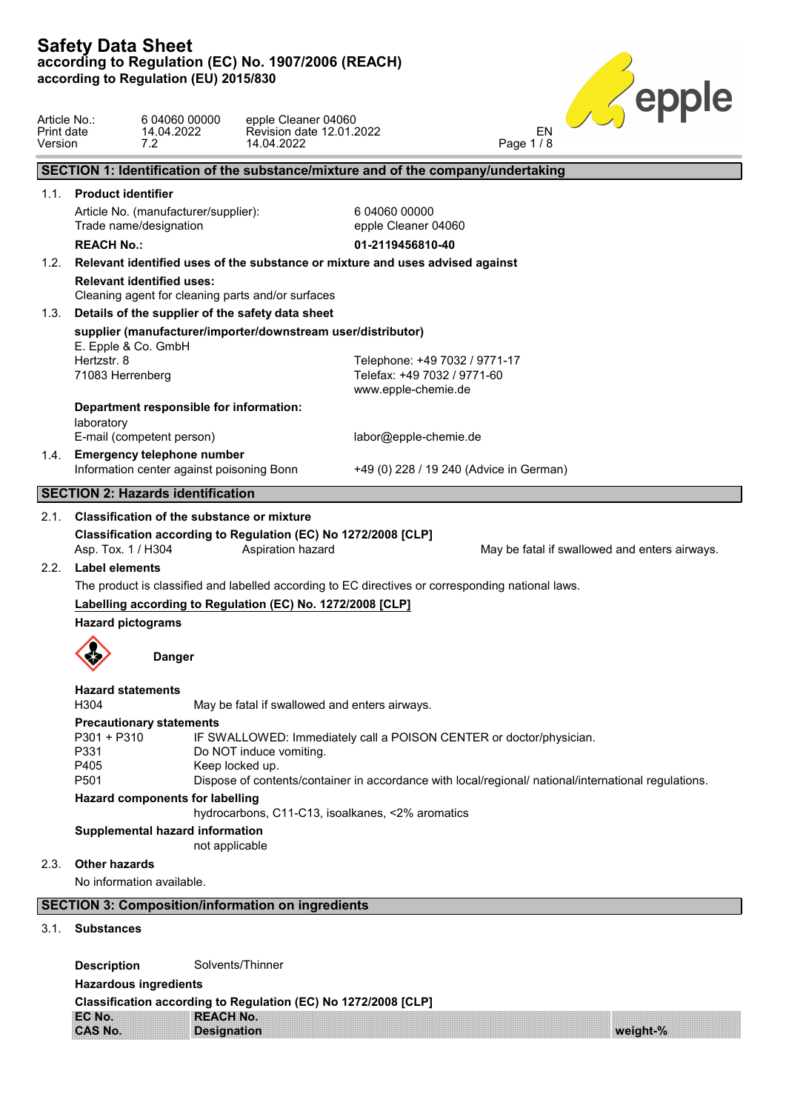Article No.: 6 04060 00000 epple Cleaner 04060 Print date 14.04.2022 Revision date 12.01.2022 EN EN Version 7.2 14.04.2022 Page 1 / 8 **SECTION 1: Identification of the substance/mixture and of the company/undertaking** 1.1. **Product identifier** Article No. (manufacturer/supplier): Trade name/designation 6 04060 00000 epple Cleaner 04060 **REACH No.: 01-2119456810-40** 1.2. **Relevant identified uses of the substance or mixture and uses advised against Relevant identified uses:** Cleaning agent for cleaning parts and/or surfaces 1.3. **Details of the supplier of the safety data sheet supplier (manufacturer/importer/downstream user/distributor)** E. Epple & Co. GmbH Hertzstr. 8 71083 Herrenberg Telephone: +49 7032 / 9771-17 Telefax: +49 7032 / 9771-60 www.epple-chemie.de **Department responsible for information:** laboratory E-mail (competent person) labor@epple-chemie.de 1.4. **Emergency telephone number** Information center against poisoning Bonn +49 (0) 228 / 19 240 (Advice in German) **SECTION 2: Hazards identification** 2.1. **Classification of the substance or mixture Classification according to Regulation (EC) No 1272/2008 [CLP]** Asp. Tox. 1 / H304 Aspiration hazard May be fatal if swallowed and enters airways. 2.2. **Label elements** The product is classified and labelled according to EC directives or corresponding national laws. **Labelling according to Regulation (EC) No. 1272/2008 [CLP] Hazard pictograms Danger Hazard statements** H304 May be fatal if swallowed and enters airways. **Precautionary statements** P301 + P310 IF SWALLOWED: Immediately call a POISON CENTER or doctor/physician. P331 Do NOT induce vomiting. P405 Keep locked up. P501 Dispose of contents/container in accordance with local/regional/ national/international regulations. **Hazard components for labelling** hydrocarbons, C11-C13, isoalkanes, <2% aromatics **Supplemental hazard information** not applicable 2.3. **Other hazards** No information available. **SECTION 3: Composition/information on ingredients** 3.1. **Substances Description** Solvents/Thinner **Hazardous ingredients Classification according to Regulation (EC) No 1272/2008 [CLP]**

| $\frac{1}{2}$  |                    |          |  |  |
|----------------|--------------------|----------|--|--|
| EC No.         | <b>REACH No.</b>   |          |  |  |
| <b>CAS No.</b> | <b>Designation</b> | weight-% |  |  |
|                |                    |          |  |  |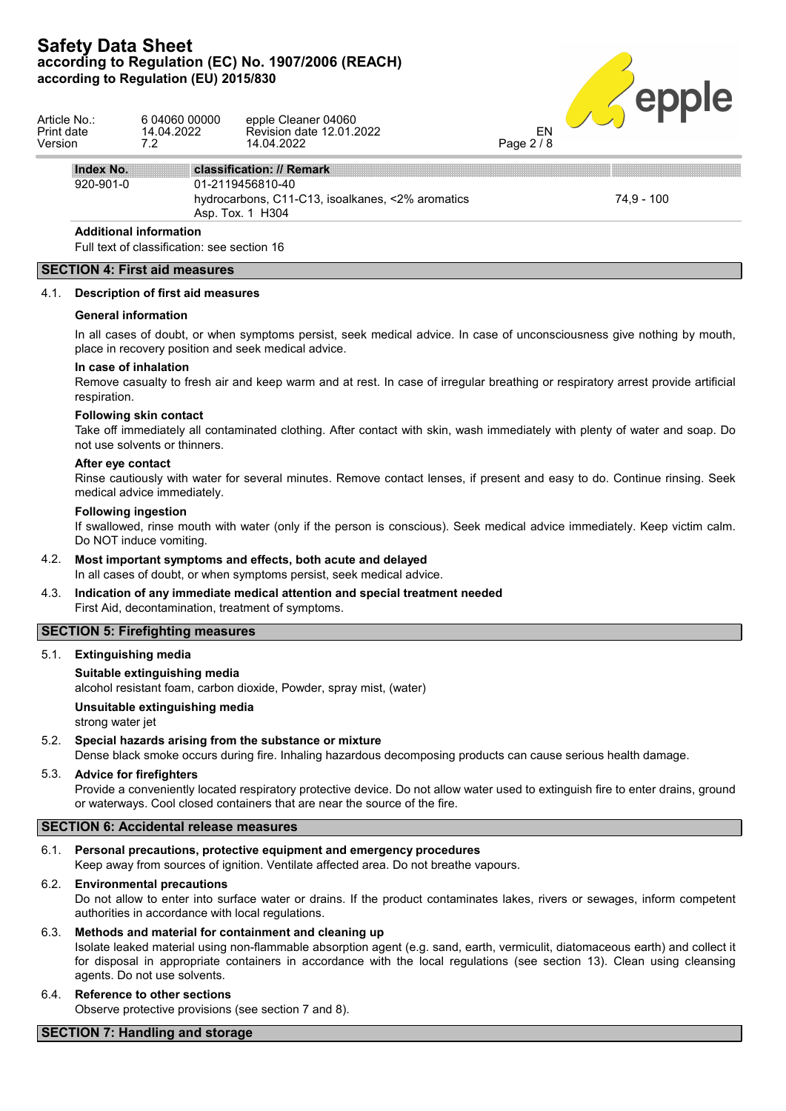# **Safety Data Sheet** according to Regulation (EC) No. 1907/2006 (REACH)<br>according to Regulation (EU) 2015/830<br>**All Dunners of Contract of Contract of Contract of Contract of Contract of Contract of Contract of Contract of Contract of Contract according to Regulation (EU) 2015/830**



| Article No.:<br>Print date<br>Version | 6 04060 00000<br>14.04.2022<br>7.2                                           | epple Cleaner 04060<br>Revision date 12.01.2022<br>14.04.2022                            | EN<br>Page 2/8 |            |
|---------------------------------------|------------------------------------------------------------------------------|------------------------------------------------------------------------------------------|----------------|------------|
| Index No.                             |                                                                              | classification: // Remark                                                                |                |            |
| 920-901-0                             |                                                                              | 01-2119456810-40<br>hydrocarbons, C11-C13, isoalkanes, <2% aromatics<br>Asp. Tox. 1 H304 |                | 74.9 - 100 |
|                                       | <b>Additional information</b><br>Full tout of eleccification: see section 16 |                                                                                          |                |            |

Full text of classification: see section 16

## **SECTION 4: First aid measures**

## 4.1. **Description of first aid measures**

#### **General information**

In all cases of doubt, or when symptoms persist, seek medical advice. In case of unconsciousness give nothing by mouth, place in recovery position and seek medical advice.

#### **In case of inhalation**

Remove casualty to fresh air and keep warm and at rest. In case of irregular breathing or respiratory arrest provide artificial respiration.

#### **Following skin contact**

Take off immediately all contaminated clothing. After contact with skin, wash immediately with plenty of water and soap. Do not use solvents or thinners.

#### **After eye contact**

Rinse cautiously with water for several minutes. Remove contact lenses, if present and easy to do. Continue rinsing. Seek medical advice immediately.

## **Following ingestion**

If swallowed, rinse mouth with water (only if the person is conscious). Seek medical advice immediately. Keep victim calm. Do NOT induce vomiting.

- 4.2. **Most important symptoms and effects, both acute and delayed** In all cases of doubt, or when symptoms persist, seek medical advice.
- 4.3. **Indication of any immediate medical attention and special treatment needed** First Aid, decontamination, treatment of symptoms.

## **SECTION 5: Firefighting measures**

5.1. **Extinguishing media**

#### **Suitable extinguishing media**

alcohol resistant foam, carbon dioxide, Powder, spray mist, (water)

## **Unsuitable extinguishing media**

strong water jet

## 5.2. **Special hazards arising from the substance or mixture**

Dense black smoke occurs during fire. Inhaling hazardous decomposing products can cause serious health damage.

## 5.3. **Advice for firefighters**

Provide a conveniently located respiratory protective device. Do not allow water used to extinguish fire to enter drains, ground or waterways. Cool closed containers that are near the source of the fire.

## **SECTION 6: Accidental release measures**

## 6.1. **Personal precautions, protective equipment and emergency procedures**

Keep away from sources of ignition. Ventilate affected area. Do not breathe vapours.

## 6.2. **Environmental precautions**

Do not allow to enter into surface water or drains. If the product contaminates lakes, rivers or sewages, inform competent authorities in accordance with local regulations.

## 6.3. **Methods and material for containment and cleaning up**

Isolate leaked material using non-flammable absorption agent (e.g. sand, earth, vermiculit, diatomaceous earth) and collect it for disposal in appropriate containers in accordance with the local regulations (see section 13). Clean using cleansing agents. Do not use solvents.

## 6.4. **Reference to other sections**

Observe protective provisions (see section 7 and 8).

## **SECTION 7: Handling and storage**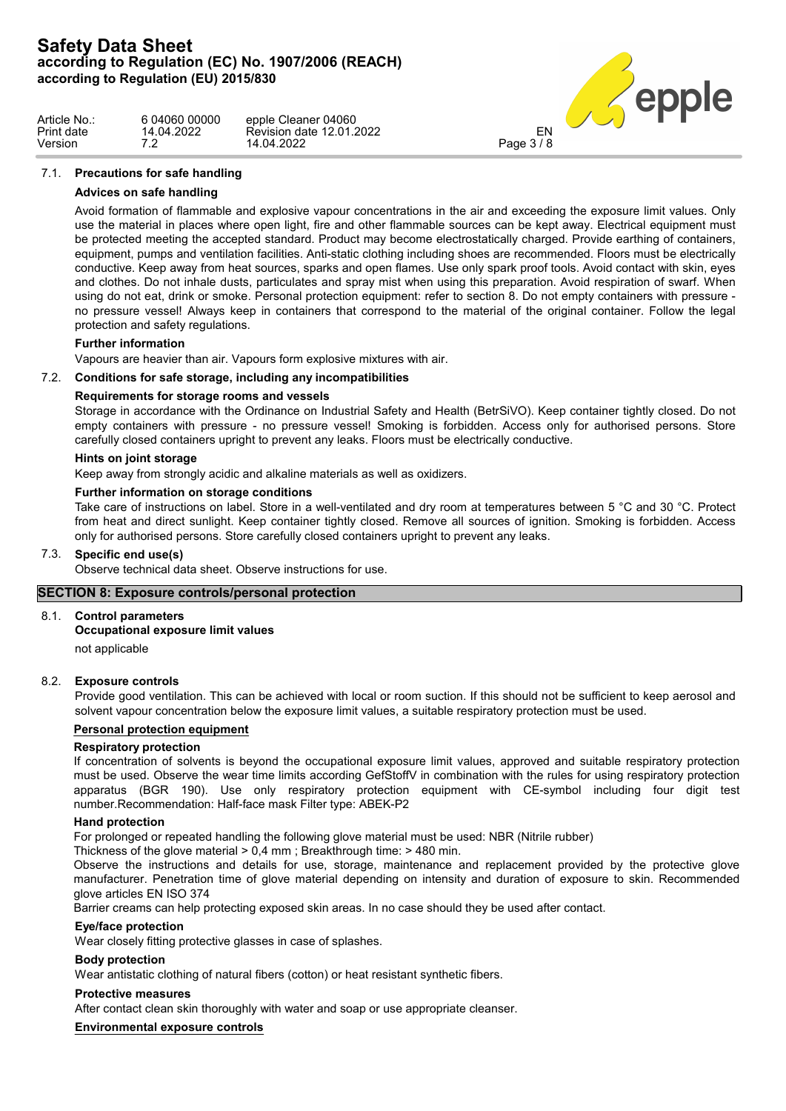

| Article No.: | 6 04060 00000 | epple Cleaner 04060      |               |  |
|--------------|---------------|--------------------------|---------------|--|
| Print date   | 14.04.2022    | Revision date 12.01.2022 | EN            |  |
| Version      |               | 14.04.2022               | $P$ age 3 / ১ |  |

## 7.1. **Precautions for safe handling**

## **Advices on safe handling**

Avoid formation of flammable and explosive vapour concentrations in the air and exceeding the exposure limit values. Only use the material in places where open light, fire and other flammable sources can be kept away. Electrical equipment must be protected meeting the accepted standard. Product may become electrostatically charged. Provide earthing of containers, equipment, pumps and ventilation facilities. Anti-static clothing including shoes are recommended. Floors must be electrically conductive. Keep away from heat sources, sparks and open flames. Use only spark proof tools. Avoid contact with skin, eyes and clothes. Do not inhale dusts, particulates and spray mist when using this preparation. Avoid respiration of swarf. When using do not eat, drink or smoke. Personal protection equipment: refer to section 8. Do not empty containers with pressure no pressure vessel! Always keep in containers that correspond to the material of the original container. Follow the legal protection and safety regulations.

## **Further information**

Vapours are heavier than air. Vapours form explosive mixtures with air.

## 7.2. **Conditions for safe storage, including any incompatibilities**

## **Requirements for storage rooms and vessels**

Storage in accordance with the Ordinance on Industrial Safety and Health (BetrSiVO). Keep container tightly closed. Do not empty containers with pressure - no pressure vessel! Smoking is forbidden. Access only for authorised persons. Store carefully closed containers upright to prevent any leaks. Floors must be electrically conductive.

## **Hints on joint storage**

Keep away from strongly acidic and alkaline materials as well as oxidizers.

## **Further information on storage conditions**

Take care of instructions on label. Store in a well-ventilated and dry room at temperatures between 5 °C and 30 °C. Protect from heat and direct sunlight. Keep container tightly closed. Remove all sources of ignition. Smoking is forbidden. Access only for authorised persons. Store carefully closed containers upright to prevent any leaks.

## 7.3. **Specific end use(s)**

Observe technical data sheet. Observe instructions for use.

## **SECTION 8: Exposure controls/personal protection**

## 8.1. **Control parameters**

## **Occupational exposure limit values**

not applicable

## 8.2. **Exposure controls**

Provide good ventilation. This can be achieved with local or room suction. If this should not be sufficient to keep aerosol and solvent vapour concentration below the exposure limit values, a suitable respiratory protection must be used.

## **Personal protection equipment**

## **Respiratory protection**

If concentration of solvents is beyond the occupational exposure limit values, approved and suitable respiratory protection must be used. Observe the wear time limits according GefStoffV in combination with the rules for using respiratory protection apparatus (BGR 190). Use only respiratory protection equipment with CE-symbol including four digit test number.Recommendation: Half-face mask Filter type: ABEK-P2

## **Hand protection**

For prolonged or repeated handling the following glove material must be used: NBR (Nitrile rubber)

Thickness of the glove material > 0,4 mm ; Breakthrough time: > 480 min.

Observe the instructions and details for use, storage, maintenance and replacement provided by the protective glove manufacturer. Penetration time of glove material depending on intensity and duration of exposure to skin. Recommended glove articles EN ISO 374

Barrier creams can help protecting exposed skin areas. In no case should they be used after contact.

## **Eye/face protection**

Wear closely fitting protective glasses in case of splashes.

## **Body protection**

Wear antistatic clothing of natural fibers (cotton) or heat resistant synthetic fibers.

## **Protective measures**

After contact clean skin thoroughly with water and soap or use appropriate cleanser.

**Environmental exposure controls**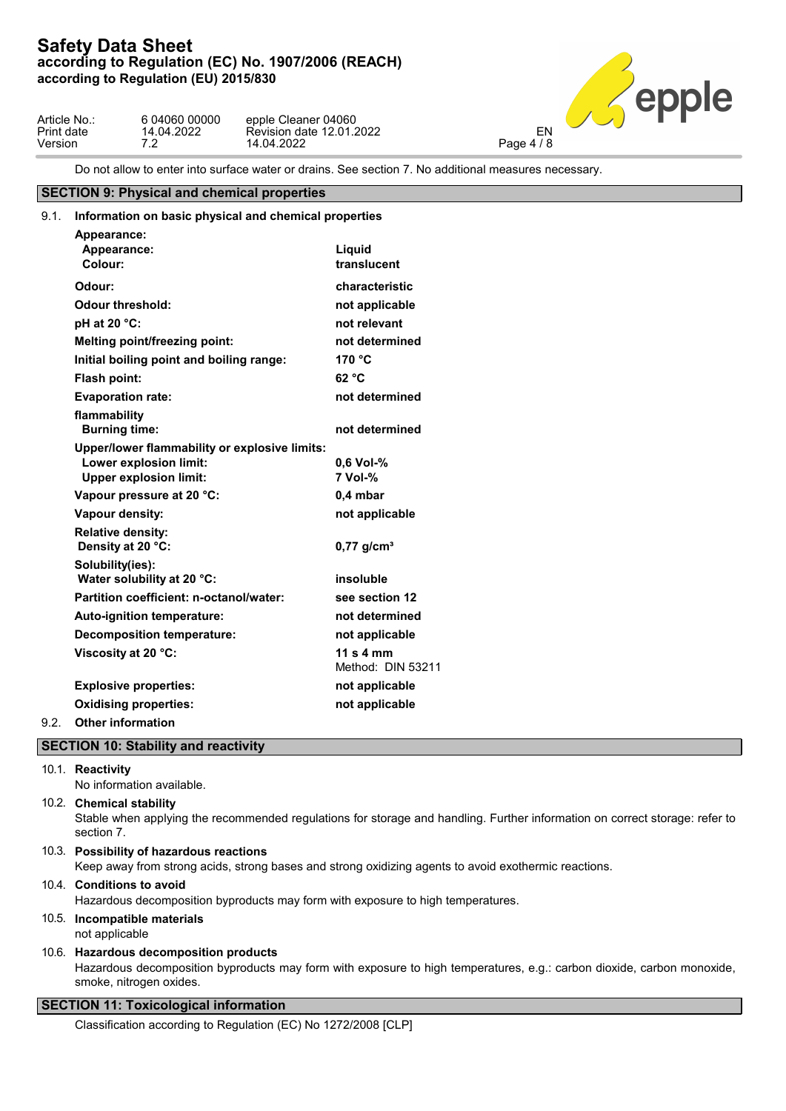

| Article No.: | 6 04060 00000 | epple Cleaner 04060      |            |
|--------------|---------------|--------------------------|------------|
| Print date   | 14.04.2022    | Revision date 12.01.2022 | FN         |
| Version      | ¬ ∩           | 14.04.2022               | Page $4/8$ |

Do not allow to enter into surface water or drains. See section 7. No additional measures necessary.

## **SECTION 9: Physical and chemical properties**

| 9.1. | Information on basic physical and chemical properties                                                    |                                |  |  |
|------|----------------------------------------------------------------------------------------------------------|--------------------------------|--|--|
|      | Appearance:<br>Appearance:<br>Colour:                                                                    | Liquid<br>translucent          |  |  |
|      | Odour:                                                                                                   | characteristic                 |  |  |
|      | <b>Odour threshold:</b>                                                                                  | not applicable                 |  |  |
|      | pH at 20 °C:                                                                                             | not relevant                   |  |  |
|      | <b>Melting point/freezing point:</b>                                                                     | not determined                 |  |  |
|      | Initial boiling point and boiling range:                                                                 | 170 °C                         |  |  |
|      | Flash point:                                                                                             | 62 °C                          |  |  |
|      | <b>Evaporation rate:</b>                                                                                 | not determined                 |  |  |
|      | flammability<br><b>Burning time:</b>                                                                     | not determined                 |  |  |
|      | Upper/lower flammability or explosive limits:<br>Lower explosion limit:<br><b>Upper explosion limit:</b> | 0,6 Vol-%<br>7 Vol-%           |  |  |
|      | Vapour pressure at 20 °C:                                                                                | $0,4$ mbar                     |  |  |
|      | Vapour density:                                                                                          | not applicable                 |  |  |
|      | <b>Relative density:</b><br>Density at 20 °C:                                                            | $0,77$ g/cm <sup>3</sup>       |  |  |
|      | Solubility(ies):<br>Water solubility at 20 °C:                                                           | insoluble                      |  |  |
|      | Partition coefficient: n-octanol/water:                                                                  | see section 12                 |  |  |
|      | Auto-ignition temperature:                                                                               | not determined                 |  |  |
|      | <b>Decomposition temperature:</b>                                                                        | not applicable                 |  |  |
|      | Viscosity at 20 °C:                                                                                      | 11 s 4 mm<br>Method: DIN 53211 |  |  |
|      | <b>Explosive properties:</b>                                                                             | not applicable                 |  |  |
|      | <b>Oxidising properties:</b>                                                                             | not applicable                 |  |  |
| ົ    |                                                                                                          |                                |  |  |

## 9.2. **Other information**

## **SECTION 10: Stability and reactivity**

## 10.1. **Reactivity**

No information available.

## 10.2. **Chemical stability**

Stable when applying the recommended regulations for storage and handling. Further information on correct storage: refer to section 7.

## 10.3. **Possibility of hazardous reactions**

Keep away from strong acids, strong bases and strong oxidizing agents to avoid exothermic reactions.

## 10.4. **Conditions to avoid**

Hazardous decomposition byproducts may form with exposure to high temperatures.

## 10.5. **Incompatible materials**

not applicable

## 10.6. **Hazardous decomposition products**

Hazardous decomposition byproducts may form with exposure to high temperatures, e.g.: carbon dioxide, carbon monoxide, smoke, nitrogen oxides.

## **SECTION 11: Toxicological information**

Classification according to Regulation (EC) No 1272/2008 [CLP]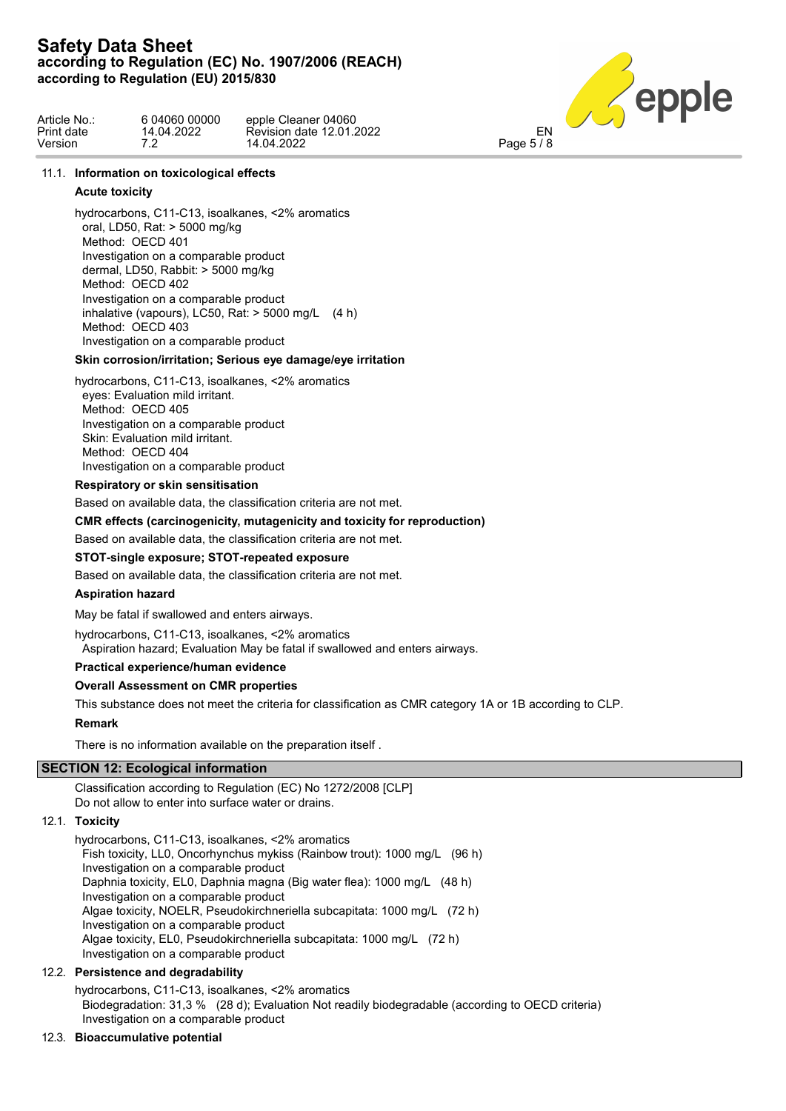

| Article No.: | 6 04060 00000 | epple Cleaner 04060      |            |  |
|--------------|---------------|--------------------------|------------|--|
| Print date   | 14.04.2022    | Revision date 12.01.2022 | EN         |  |
| Version      |               | 14.04.2022               | Page $5/8$ |  |

## 11.1. **Information on toxicological effects**

## **Acute toxicity**

hydrocarbons, C11-C13, isoalkanes, <2% aromatics oral, LD50, Rat: > 5000 mg/kg Method: OECD 401 Investigation on a comparable product dermal, LD50, Rabbit: > 5000 mg/kg Method: OECD 402 Investigation on a comparable product inhalative (vapours), LC50, Rat:  $>$  5000 mg/L (4 h) Method: OECD 403 Investigation on a comparable product

## **Skin corrosion/irritation; Serious eye damage/eye irritation**

hydrocarbons, C11-C13, isoalkanes, <2% aromatics eyes: Evaluation mild irritant. Method: OECD 405 Investigation on a comparable product Skin: Evaluation mild irritant. Method: OECD 404 Investigation on a comparable product

## **Respiratory or skin sensitisation**

Based on available data, the classification criteria are not met.

## **CMR effects (carcinogenicity, mutagenicity and toxicity for reproduction)**

Based on available data, the classification criteria are not met.

## **STOT-single exposure; STOT-repeated exposure**

Based on available data, the classification criteria are not met.

## **Aspiration hazard**

May be fatal if swallowed and enters airways.

hydrocarbons, C11-C13, isoalkanes, <2% aromatics

Aspiration hazard; Evaluation May be fatal if swallowed and enters airways.

## **Practical experience/human evidence**

## **Overall Assessment on CMR properties**

This substance does not meet the criteria for classification as CMR category 1A or 1B according to CLP.

## **Remark**

There is no information available on the preparation itself .

## **SECTION 12: Ecological information**

Classification according to Regulation (EC) No 1272/2008 [CLP] Do not allow to enter into surface water or drains.

## 12.1. **Toxicity**

hydrocarbons, C11-C13, isoalkanes, <2% aromatics Fish toxicity, LL0, Oncorhynchus mykiss (Rainbow trout): 1000 mg/L (96 h) Investigation on a comparable product Daphnia toxicity, EL0, Daphnia magna (Big water flea): 1000 mg/L (48 h) Investigation on a comparable product Algae toxicity, NOELR, Pseudokirchneriella subcapitata: 1000 mg/L (72 h) Investigation on a comparable product Algae toxicity, EL0, Pseudokirchneriella subcapitata: 1000 mg/L (72 h) Investigation on a comparable product

## 12.2. **Persistence and degradability**

hydrocarbons, C11-C13, isoalkanes, <2% aromatics Biodegradation: 31,3 % (28 d); Evaluation Not readily biodegradable (according to OECD criteria) Investigation on a comparable product

## 12.3. **Bioaccumulative potential**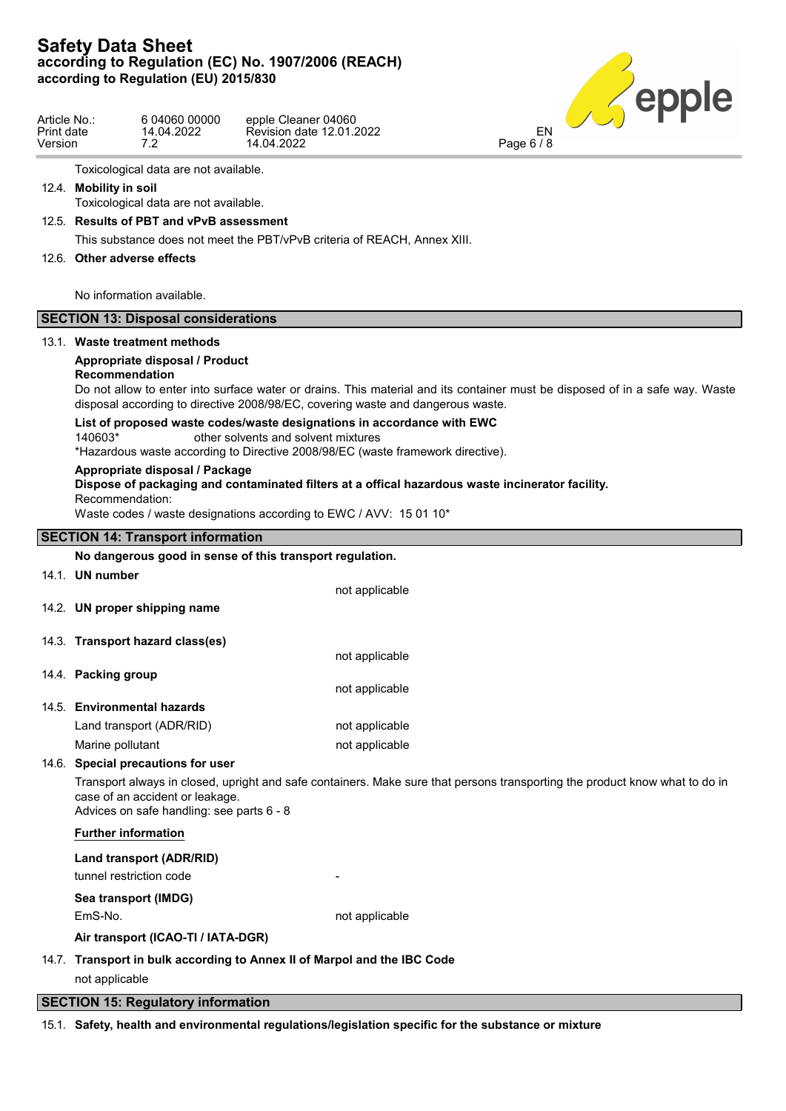

| Article No.: | 6 04060 00000 | epple Cleaner 04060      |
|--------------|---------------|--------------------------|
| Print date   | 14.04.2022    | Revision date 12.01.2022 |
| Version      | 7.2           | 14.04.2022               |

Toxicological data are not available.

12.4. **Mobility in soil**

Toxicological data are not available.

12.5. **Results of PBT and vPvB assessment**

This substance does not meet the PBT/vPvB criteria of REACH, Annex XIII.

## 12.6. **Other adverse effects**

No information available.

## **SECTION 13: Disposal considerations**

## 13.1. **Waste treatment methods**

## **Appropriate disposal / Product**

## **Recommendation**

Do not allow to enter into surface water or drains. This material and its container must be disposed of in a safe way. Waste disposal according to directive 2008/98/EC, covering waste and dangerous waste.

## **List of proposed waste codes/waste designations in accordance with EWC**

140603\* other solvents and solvent mixtures

\*Hazardous waste according to Directive 2008/98/EC (waste framework directive).

## **Appropriate disposal / Package**

**Dispose of packaging and contaminated filters at a offical hazardous waste incinerator facility.** Recommendation:

Waste codes / waste designations according to EWC / AVV: 15 01 10\*

## **SECTION 14: Transport information**

## **No dangerous good in sense of this transport regulation.**

|       | 14.1. UN number                  | not applicable |
|-------|----------------------------------|----------------|
|       | 14.2. UN proper shipping name    |                |
|       | 14.3. Transport hazard class(es) |                |
|       |                                  | not applicable |
|       | 14.4. Packing group              |                |
|       |                                  | not applicable |
|       | 14.5. Environmental hazards      |                |
|       | Land transport (ADR/RID)         | not applicable |
|       | Marine pollutant                 | not applicable |
| 14.6. | Special precautions for user     |                |
|       |                                  |                |

Transport always in closed, upright and safe containers. Make sure that persons transporting the product know what to do in case of an accident or leakage.

Advices on safe handling: see parts 6 - 8

## **Further information**

## **Land transport (ADR/RID)** tunnel restriction code

**Sea transport (IMDG)**

EmS-No. **not** applicable

**Air transport (ICAO-TI / IATA-DGR)**

## 14.7. **Transport in bulk according to Annex II of Marpol and the IBC Code** not applicable

## **SECTION 15: Regulatory information**

15.1. **Safety, health and environmental regulations/legislation specific for the substance or mixture**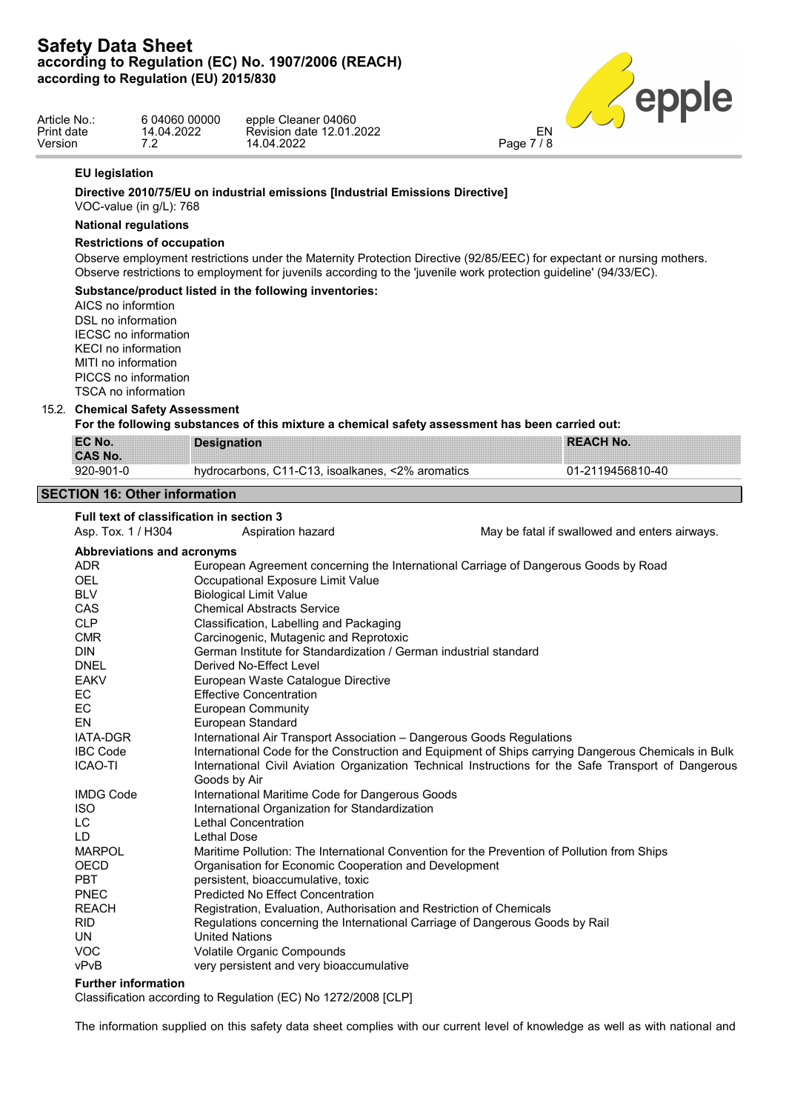

| Article No.: | 6 04060 00000 | epple Cleaner 04060      |            |  |
|--------------|---------------|--------------------------|------------|--|
| Print date   | 4.04.2022     | Revision date 12.01.2022 | EN         |  |
| Version      |               | 14.04.2022               | Page 7 / 8 |  |

## **EU legislation**

## **Directive 2010/75/EU on industrial emissions [Industrial Emissions Directive]**

VOC-value (in g/L): 768

## **National regulations**

## **Restrictions of occupation**

Observe employment restrictions under the Maternity Protection Directive (92/85/EEC) for expectant or nursing mothers. Observe restrictions to employment for juvenils according to the 'juvenile work protection guideline' (94/33/EC).

## **Substance/product listed in the following inventories:**

AICS no informtion DSL no information IECSC no information KECI no information MITI no information PICCS no information TSCA no information

## 15.2. **Chemical Safety Assessment**

**For the following substances of this mixture a chemical safety assessment has been carried out:**

| EC No.         | Designation                                           | <b>REACH No.</b> |
|----------------|-------------------------------------------------------|------------------|
| <b>CAS No.</b> |                                                       |                  |
| 920-901-0      | . C11-C13. isoalkanes. <2% aromatics<br>hydrocarbons. | 01-2119456810-40 |

## **SECTION 16: Other information**

## **Full text of classification in section 3**

Asp. Tox. 1 / H304 Aspiration hazard May be fatal if swallowed and enters airways.

| Abbreviations and acronyms |                                                                                                      |
|----------------------------|------------------------------------------------------------------------------------------------------|
| <b>ADR</b>                 | European Agreement concerning the International Carriage of Dangerous Goods by Road                  |
| <b>OEL</b>                 | Occupational Exposure Limit Value                                                                    |
| <b>BLV</b>                 | <b>Biological Limit Value</b>                                                                        |
| CAS                        | <b>Chemical Abstracts Service</b>                                                                    |
| <b>CLP</b>                 | Classification, Labelling and Packaging                                                              |
| <b>CMR</b>                 | Carcinogenic, Mutagenic and Reprotoxic                                                               |
| <b>DIN</b>                 | German Institute for Standardization / German industrial standard                                    |
| <b>DNEL</b>                | Derived No-Effect Level                                                                              |
| <b>EAKV</b>                | European Waste Catalogue Directive                                                                   |
| EC                         | <b>Effective Concentration</b>                                                                       |
| EC                         | European Community                                                                                   |
| EN                         | European Standard                                                                                    |
| <b>IATA-DGR</b>            | International Air Transport Association - Dangerous Goods Regulations                                |
| <b>IBC Code</b>            | International Code for the Construction and Equipment of Ships carrying Dangerous Chemicals in Bulk  |
| <b>ICAO-TI</b>             | International Civil Aviation Organization Technical Instructions for the Safe Transport of Dangerous |
|                            | Goods by Air                                                                                         |
| <b>IMDG Code</b>           | International Maritime Code for Dangerous Goods                                                      |
| <b>ISO</b>                 | International Organization for Standardization                                                       |
| LC                         | Lethal Concentration                                                                                 |
| LD                         | Lethal Dose                                                                                          |
| <b>MARPOL</b>              | Maritime Pollution: The International Convention for the Prevention of Pollution from Ships          |
| <b>OECD</b>                | Organisation for Economic Cooperation and Development                                                |
| <b>PBT</b>                 | persistent, bioaccumulative, toxic                                                                   |
| <b>PNEC</b>                | Predicted No Effect Concentration                                                                    |
| <b>REACH</b>               | Registration, Evaluation, Authorisation and Restriction of Chemicals                                 |
| <b>RID</b>                 | Regulations concerning the International Carriage of Dangerous Goods by Rail                         |
| UN                         | <b>United Nations</b>                                                                                |
| <b>VOC</b>                 | Volatile Organic Compounds                                                                           |
| vPvB                       | very persistent and very bioaccumulative                                                             |
|                            |                                                                                                      |

## **Further information**

Classification according to Regulation (EC) No 1272/2008 [CLP]

The information supplied on this safety data sheet complies with our current level of knowledge as well as with national and